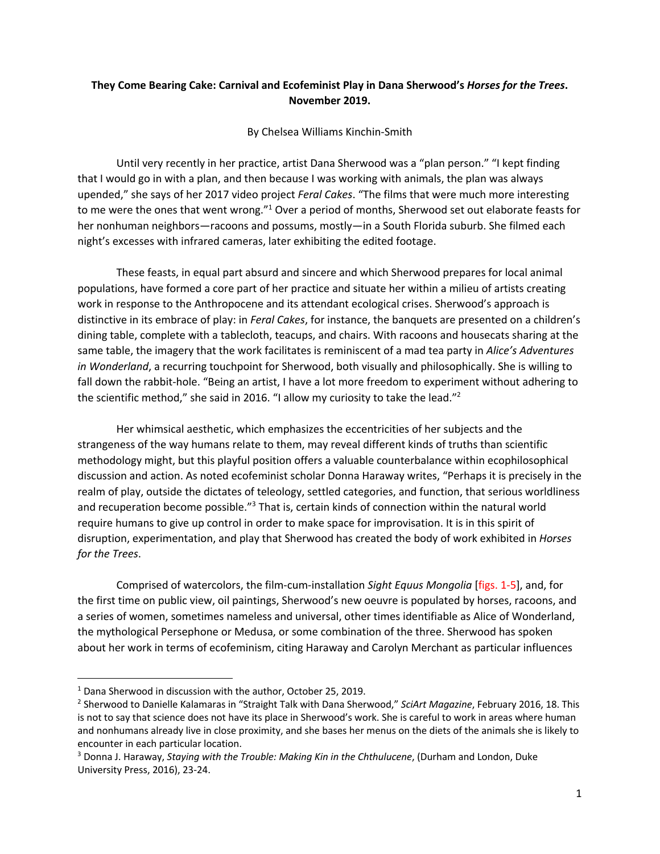## **They Come Bearing Cake: Carnival and Ecofeminist Play in Dana Sherwood's** *Horses for the Trees***. November 2019.**

By Chelsea Williams Kinchin-Smith

Until very recently in her practice, artist Dana Sherwood was a "plan person." "I kept finding that I would go in with a plan, and then because I was working with animals, the plan was always upended," she says of her 2017 video project *Feral Cakes*. "The films that were much more interesting to me were the ones that went wrong."1 Over a period of months, Sherwood set out elaborate feasts for her nonhuman neighbors—racoons and possums, mostly—in a South Florida suburb. She filmed each night's excesses with infrared cameras, later exhibiting the edited footage.

These feasts, in equal part absurd and sincere and which Sherwood prepares for local animal populations, have formed a core part of her practice and situate her within a milieu of artists creating work in response to the Anthropocene and its attendant ecological crises. Sherwood's approach is distinctive in its embrace of play: in *Feral Cakes*, for instance, the banquets are presented on a children's dining table, complete with a tablecloth, teacups, and chairs. With racoons and housecats sharing at the same table, the imagery that the work facilitates is reminiscent of a mad tea party in *Alice's Adventures in Wonderland*, a recurring touchpoint for Sherwood, both visually and philosophically. She is willing to fall down the rabbit-hole. "Being an artist, I have a lot more freedom to experiment without adhering to the scientific method," she said in 2016. "I allow my curiosity to take the lead."<sup>2</sup>

Her whimsical aesthetic, which emphasizes the eccentricities of her subjects and the strangeness of the way humans relate to them, may reveal different kinds of truths than scientific methodology might, but this playful position offers a valuable counterbalance within ecophilosophical discussion and action. As noted ecofeminist scholar Donna Haraway writes, "Perhaps it is precisely in the realm of play, outside the dictates of teleology, settled categories, and function, that serious worldliness and recuperation become possible."<sup>3</sup> That is, certain kinds of connection within the natural world require humans to give up control in order to make space for improvisation. It is in this spirit of disruption, experimentation, and play that Sherwood has created the body of work exhibited in *Horses for the Trees*.

Comprised of watercolors, the film-cum-installation *Sight Equus Mongolia* [figs. 1-5], and, for the first time on public view, oil paintings, Sherwood's new oeuvre is populated by horses, racoons, and a series of women, sometimes nameless and universal, other times identifiable as Alice of Wonderland, the mythological Persephone or Medusa, or some combination of the three. Sherwood has spoken about her work in terms of ecofeminism, citing Haraway and Carolyn Merchant as particular influences

<sup>&</sup>lt;sup>1</sup> Dana Sherwood in discussion with the author, October 25, 2019.

<sup>2</sup> Sherwood to Danielle Kalamaras in "Straight Talk with Dana Sherwood," *SciArt Magazine*, February 2016, 18. This is not to say that science does not have its place in Sherwood's work. She is careful to work in areas where human and nonhumans already live in close proximity, and she bases her menus on the diets of the animals she is likely to encounter in each particular location.

<sup>3</sup> Donna J. Haraway, *Staying with the Trouble: Making Kin in the Chthulucene*, (Durham and London, Duke University Press, 2016), 23-24.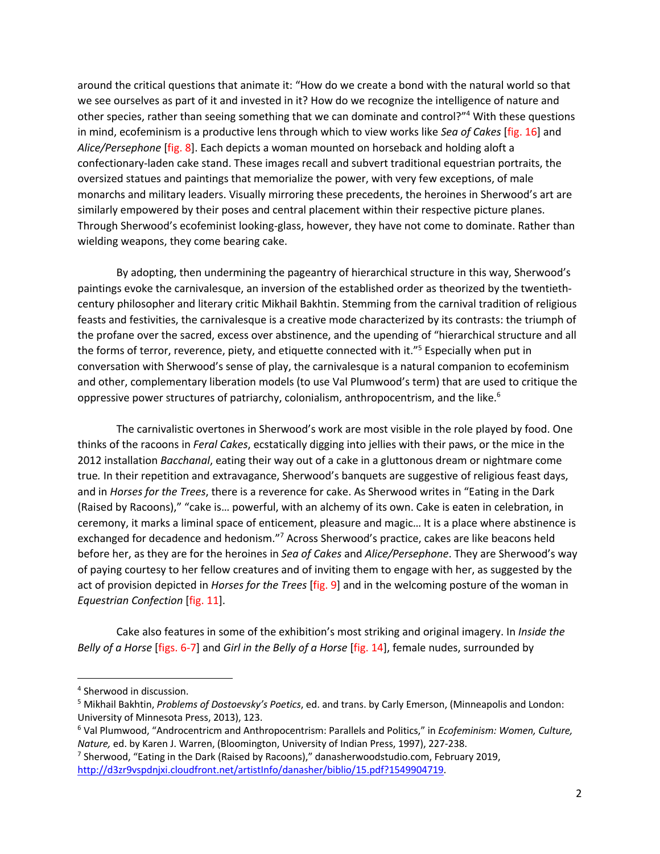around the critical questions that animate it: "How do we create a bond with the natural world so that we see ourselves as part of it and invested in it? How do we recognize the intelligence of nature and other species, rather than seeing something that we can dominate and control?"4 With these questions in mind, ecofeminism is a productive lens through which to view works like *Sea of Cakes* [fig. 16] and *Alice/Persephone* [fig. 8]. Each depicts a woman mounted on horseback and holding aloft a confectionary-laden cake stand. These images recall and subvert traditional equestrian portraits, the oversized statues and paintings that memorialize the power, with very few exceptions, of male monarchs and military leaders. Visually mirroring these precedents, the heroines in Sherwood's art are similarly empowered by their poses and central placement within their respective picture planes. Through Sherwood's ecofeminist looking-glass, however, they have not come to dominate. Rather than wielding weapons, they come bearing cake.

By adopting, then undermining the pageantry of hierarchical structure in this way, Sherwood's paintings evoke the carnivalesque, an inversion of the established order as theorized by the twentiethcentury philosopher and literary critic Mikhail Bakhtin. Stemming from the carnival tradition of religious feasts and festivities, the carnivalesque is a creative mode characterized by its contrasts: the triumph of the profane over the sacred, excess over abstinence, and the upending of "hierarchical structure and all the forms of terror, reverence, piety, and etiquette connected with it."5 Especially when put in conversation with Sherwood's sense of play, the carnivalesque is a natural companion to ecofeminism and other, complementary liberation models (to use Val Plumwood's term) that are used to critique the oppressive power structures of patriarchy, colonialism, anthropocentrism, and the like.<sup>6</sup>

The carnivalistic overtones in Sherwood's work are most visible in the role played by food. One thinks of the racoons in *Feral Cakes*, ecstatically digging into jellies with their paws, or the mice in the 2012 installation *Bacchanal*, eating their way out of a cake in a gluttonous dream or nightmare come true*.* In their repetition and extravagance, Sherwood's banquets are suggestive of religious feast days, and in *Horses for the Trees*, there is a reverence for cake. As Sherwood writes in "Eating in the Dark (Raised by Racoons)," "cake is… powerful, with an alchemy of its own. Cake is eaten in celebration, in ceremony, it marks a liminal space of enticement, pleasure and magic… It is a place where abstinence is exchanged for decadence and hedonism."7 Across Sherwood's practice, cakes are like beacons held before her, as they are for the heroines in *Sea of Cakes* and *Alice/Persephone*. They are Sherwood's way of paying courtesy to her fellow creatures and of inviting them to engage with her, as suggested by the act of provision depicted in *Horses for the Trees* [fig. 9] and in the welcoming posture of the woman in *Equestrian Confection* [fig. 11].

Cake also features in some of the exhibition's most striking and original imagery. In *Inside the Belly of a Horse* [figs. 6-7] and *Girl in the Belly of a Horse* [fig. 14], female nudes, surrounded by

<sup>4</sup> Sherwood in discussion.

<sup>5</sup> Mikhail Bakhtin, *Problems of Dostoevsky's Poetics*, ed. and trans. by Carly Emerson, (Minneapolis and London: University of Minnesota Press, 2013), 123.

<sup>6</sup> Val Plumwood, "Androcentricm and Anthropocentrism: Parallels and Politics," in *Ecofeminism: Women, Culture, Nature,* ed. by Karen J. Warren, (Bloomington, University of Indian Press, 1997), 227-238.

<sup>7</sup> Sherwood, "Eating in the Dark (Raised by Racoons)," danasherwoodstudio.com, February 2019, http://d3zr9vspdnjxi.cloudfront.net/artistInfo/danasher/biblio/15.pdf?1549904719.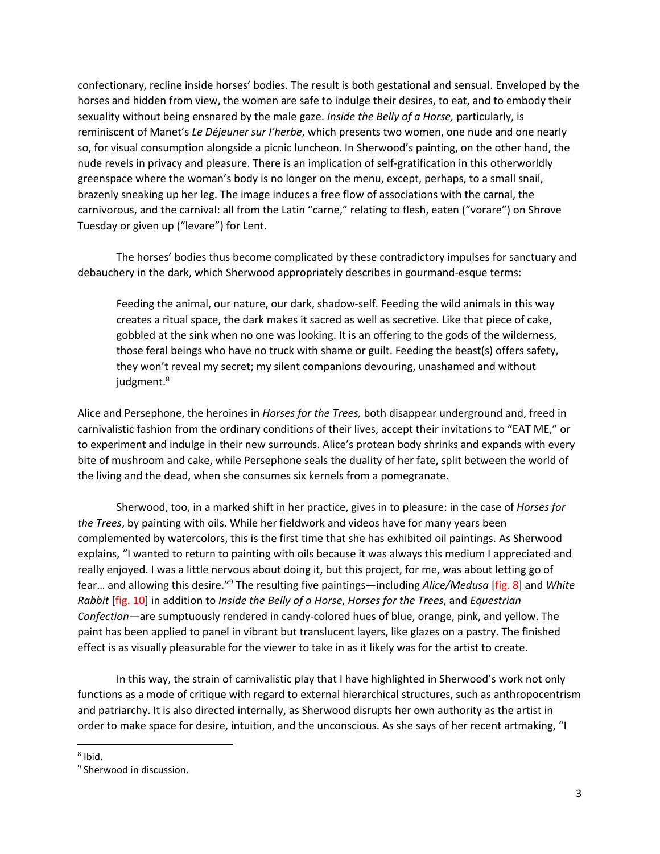confectionary, recline inside horses' bodies. The result is both gestational and sensual. Enveloped by the horses and hidden from view, the women are safe to indulge their desires, to eat, and to embody their sexuality without being ensnared by the male gaze. *Inside the Belly of a Horse,* particularly, is reminiscent of Manet's *Le Déjeuner sur l'herbe*, which presents two women, one nude and one nearly so, for visual consumption alongside a picnic luncheon. In Sherwood's painting, on the other hand, the nude revels in privacy and pleasure. There is an implication of self-gratification in this otherworldly greenspace where the woman's body is no longer on the menu, except, perhaps, to a small snail, brazenly sneaking up her leg. The image induces a free flow of associations with the carnal, the carnivorous, and the carnival: all from the Latin "carne," relating to flesh, eaten ("vorare") on Shrove Tuesday or given up ("levare") for Lent.

The horses' bodies thus become complicated by these contradictory impulses for sanctuary and debauchery in the dark, which Sherwood appropriately describes in gourmand-esque terms:

Feeding the animal, our nature, our dark, shadow-self. Feeding the wild animals in this way creates a ritual space, the dark makes it sacred as well as secretive. Like that piece of cake, gobbled at the sink when no one was looking. It is an offering to the gods of the wilderness, those feral beings who have no truck with shame or guilt. Feeding the beast(s) offers safety, they won't reveal my secret; my silent companions devouring, unashamed and without judgment.<sup>8</sup>

Alice and Persephone, the heroines in *Horses for the Trees,* both disappear underground and, freed in carnivalistic fashion from the ordinary conditions of their lives, accept their invitations to "EAT ME," or to experiment and indulge in their new surrounds. Alice's protean body shrinks and expands with every bite of mushroom and cake, while Persephone seals the duality of her fate, split between the world of the living and the dead, when she consumes six kernels from a pomegranate.

Sherwood, too, in a marked shift in her practice, gives in to pleasure: in the case of *Horses for the Trees*, by painting with oils. While her fieldwork and videos have for many years been complemented by watercolors, this is the first time that she has exhibited oil paintings. As Sherwood explains, "I wanted to return to painting with oils because it was always this medium I appreciated and really enjoyed. I was a little nervous about doing it, but this project, for me, was about letting go of fear… and allowing this desire."9 The resulting five paintings—including *Alice/Medusa* [fig. 8] and *White Rabbit* [fig. 10] in addition to *Inside the Belly of a Horse*, *Horses for the Trees*, and *Equestrian Confection*—are sumptuously rendered in candy-colored hues of blue, orange, pink, and yellow. The paint has been applied to panel in vibrant but translucent layers, like glazes on a pastry. The finished effect is as visually pleasurable for the viewer to take in as it likely was for the artist to create.

In this way, the strain of carnivalistic play that I have highlighted in Sherwood's work not only functions as a mode of critique with regard to external hierarchical structures, such as anthropocentrism and patriarchy. It is also directed internally, as Sherwood disrupts her own authority as the artist in order to make space for desire, intuition, and the unconscious. As she says of her recent artmaking, "I

 $8$  Ibid.

<sup>&</sup>lt;sup>9</sup> Sherwood in discussion.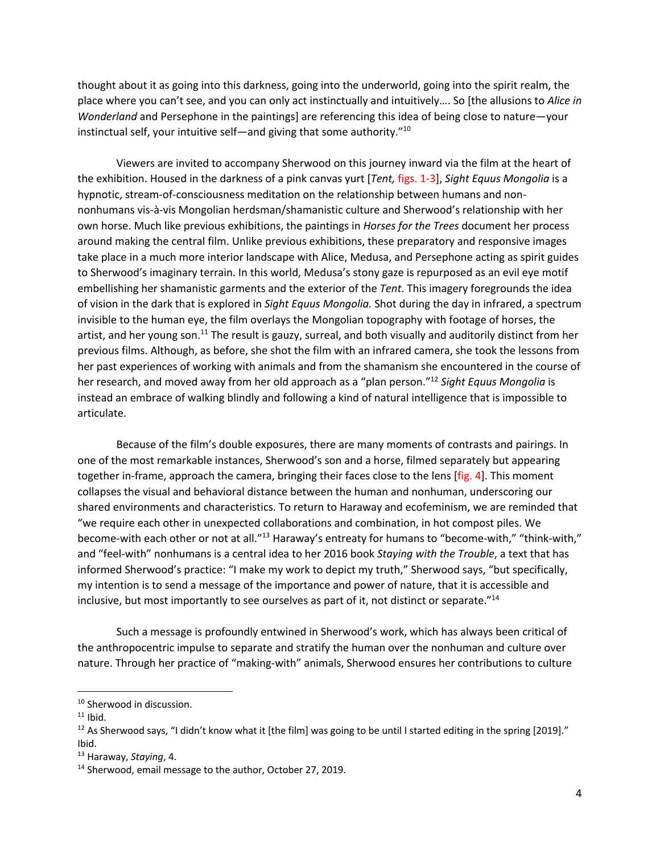thought about it as going into this darkness, going into the underworld, going into the spirit realm, the place where you can't see, and you can only act instinctually and intuitively…. So [the allusions to *Alice in Wonderland* and Persephone in the paintings] are referencing this idea of being close to nature—your instinctual self, your intuitive self—and giving that some authority. $^{\prime\prime 10}$ 

Viewers are invited to accompany Sherwood on this journey inward via the film at the heart of the exhibition. Housed in the darkness of a pink canvas yurt [*Tent,* figs. 1-3], *Sight Equus Mongolia* is a hypnotic, stream-of-consciousness meditation on the relationship between humans and nonnonhumans vis-à-vis Mongolian herdsman/shamanistic culture and Sherwood's relationship with her own horse. Much like previous exhibitions, the paintings in *Horses for the Trees* document her process around making the central film. Unlike previous exhibitions, these preparatory and responsive images take place in a much more interior landscape with Alice, Medusa, and Persephone acting as spirit guides to Sherwood's imaginary terrain. In this world, Medusa's stony gaze is repurposed as an evil eye motif embellishing her shamanistic garments and the exterior of the *Tent*. This imagery foregrounds the idea of vision in the dark that is explored in *Sight Equus Mongolia.* Shot during the day in infrared, a spectrum invisible to the human eye, the film overlays the Mongolian topography with footage of horses, the artist, and her young son.11 The result is gauzy, surreal, and both visually and auditorily distinct from her previous films. Although, as before, she shot the film with an infrared camera, she took the lessons from her past experiences of working with animals and from the shamanism she encountered in the course of her research, and moved away from her old approach as a "plan person."12 *Sight Equus Mongolia* is instead an embrace of walking blindly and following a kind of natural intelligence that is impossible to articulate.

Because of the film's double exposures, there are many moments of contrasts and pairings. In one of the most remarkable instances, Sherwood's son and a horse, filmed separately but appearing together in-frame, approach the camera, bringing their faces close to the lens [fig. 4]. This moment collapses the visual and behavioral distance between the human and nonhuman, underscoring our shared environments and characteristics. To return to Haraway and ecofeminism, we are reminded that "we require each other in unexpected collaborations and combination, in hot compost piles. We become-with each other or not at all."13 Haraway's entreaty for humans to "become-with," "think-with," and "feel-with" nonhumans is a central idea to her 2016 book *Staying with the Trouble*, a text that has informed Sherwood's practice: "I make my work to depict my truth," Sherwood says, "but specifically, my intention is to send a message of the importance and power of nature, that it is accessible and inclusive, but most importantly to see ourselves as part of it, not distinct or separate."14

Such a message is profoundly entwined in Sherwood's work, which has always been critical of the anthropocentric impulse to separate and stratify the human over the nonhuman and culture over nature. Through her practice of "making-with" animals, Sherwood ensures her contributions to culture

<sup>&</sup>lt;sup>10</sup> Sherwood in discussion.

 $11$  Ibid.

<sup>&</sup>lt;sup>12</sup> As Sherwood says, "I didn't know what it [the film] was going to be until I started editing in the spring [2019]." Ibid.

<sup>13</sup> Haraway, *Staying*, 4.

<sup>&</sup>lt;sup>14</sup> Sherwood, email message to the author, October 27, 2019.